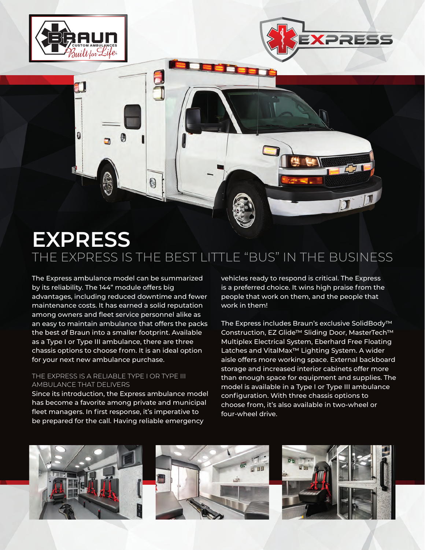

Đ

a



The Express ambulance model can be summarized by its reliability. The 144" module offers big advantages, including reduced downtime and fewer maintenance costs. It has earned a solid reputation among owners and fleet service personnel alike as an easy to maintain ambulance that offers the packs the best of Braun into a smaller footprint. Available as a Type I or Type III ambulance, there are three chassis options to choose from. It is an ideal option for your next new ambulance purchase.

d<br>J

Đ

## THE EXPRESS IS A RELIABLE TYPE I OR TYPE III AMBULANCE THAT DELIVERS

Since its introduction, the Express ambulance model has become a favorite among private and municipal fleet managers. In first response, it's imperative to be prepared for the call. Having reliable emergency

vehicles ready to respond is critical. The Express is a preferred choice. It wins high praise from the people that work on them, and the people that work in them!

**XPRES** 

The Express includes Braun's exclusive SolidBody™ Construction, EZ Glide™ Sliding Door, MasterTech™ Multiplex Electrical System, Eberhard Free Floating Latches and VitalMax™ Lighting System. A wider aisle offers more working space. External backboard storage and increased interior cabinets offer more than enough space for equipment and supplies. The model is available in a Type I or Type III ambulance configuration. With three chassis options to choose from, it's also available in two-wheel or four-wheel drive.